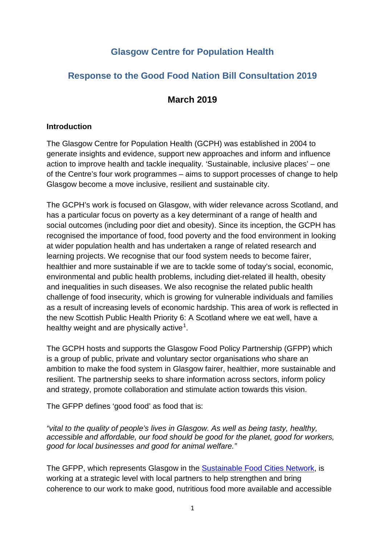# **Glasgow Centre for Population Health**

## **Response to the Good Food Nation Bill Consultation 2019**

## **March 2019**

#### **Introduction**

The Glasgow Centre for Population Health (GCPH) was established in 2004 to generate insights and evidence, support new approaches and inform and influence action to improve health and tackle inequality. 'Sustainable, inclusive places' – one of the Centre's four work programmes – aims to support processes of change to help Glasgow become a move inclusive, resilient and sustainable city.

The GCPH's work is focused on Glasgow, with wider relevance across Scotland, and has a particular focus on poverty as a key determinant of a range of health and social outcomes (including poor diet and obesity). Since its inception, the GCPH has recognised the importance of food, food poverty and the food environment in looking at wider population health and has undertaken a range of related research and learning projects. We recognise that our food system needs to become fairer, healthier and more sustainable if we are to tackle some of today's social, economic, environmental and public health problems, including diet-related ill health, obesity and inequalities in such diseases. We also recognise the related public health challenge of food insecurity, which is growing for vulnerable individuals and families as a result of increasing levels of economic hardship. This area of work is reflected in the new Scottish Public Health Priority 6: A Scotland where we eat well, have a healthy weight and are physically active<sup>[1](#page-4-0)</sup>.

The GCPH hosts and supports the Glasgow Food Policy Partnership (GFPP) which is a group of public, private and voluntary sector organisations who share an ambition to make the food system in Glasgow fairer, healthier, more sustainable and resilient. The partnership seeks to share information across sectors, inform policy and strategy, promote collaboration and stimulate action towards this vision.

The GFPP defines 'good food' as food that is:

*"vital to the quality of people's lives in Glasgow. As well as being tasty, healthy, accessible and affordable, our food should be good for the planet, good for workers, good for local businesses and good for animal welfare."*

The GFPP, which represents Glasgow in the [Sustainable Food Cities Network,](http://sustainablefoodcities.org/) is working at a strategic level with local partners to help strengthen and bring coherence to our work to make good, nutritious food more available and accessible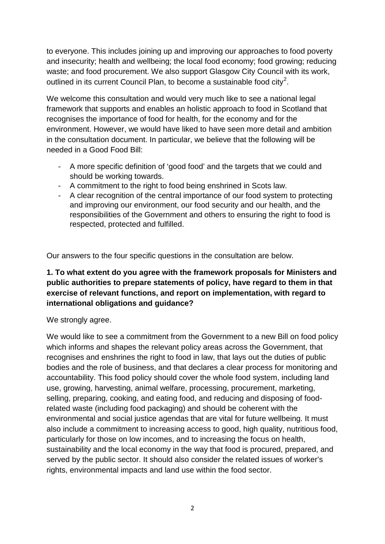to everyone. This includes joining up and improving our approaches to food poverty and insecurity; health and wellbeing; the local food economy; food growing; reducing waste; and food procurement. We also support Glasgow City Council with its work, outlined in its current Council Plan, to become a sustainable food city<sup>[2](#page-4-1)</sup>.

We welcome this consultation and would very much like to see a national legal framework that supports and enables an holistic approach to food in Scotland that recognises the importance of food for health, for the economy and for the environment. However, we would have liked to have seen more detail and ambition in the consultation document. In particular, we believe that the following will be needed in a Good Food Bill:

- A more specific definition of 'good food' and the targets that we could and should be working towards.
- A commitment to the right to food being enshrined in Scots law.
- A clear recognition of the central importance of our food system to protecting and improving our environment, our food security and our health, and the responsibilities of the Government and others to ensuring the right to food is respected, protected and fulfilled.

Our answers to the four specific questions in the consultation are below.

## **1. To what extent do you agree with the framework proposals for Ministers and public authorities to prepare statements of policy, have regard to them in that exercise of relevant functions, and report on implementation, with regard to international obligations and guidance?**

#### We strongly agree.

We would like to see a commitment from the Government to a new Bill on food policy which informs and shapes the relevant policy areas across the Government, that recognises and enshrines the right to food in law, that lays out the duties of public bodies and the role of business, and that declares a clear process for monitoring and accountability. This food policy should cover the whole food system, including land use, growing, harvesting, animal welfare, processing, procurement, marketing, selling, preparing, cooking, and eating food, and reducing and disposing of foodrelated waste (including food packaging) and should be coherent with the environmental and social justice agendas that are vital for future wellbeing. It must also include a commitment to increasing access to good, high quality, nutritious food, particularly for those on low incomes, and to increasing the focus on health, sustainability and the local economy in the way that food is procured, prepared, and served by the public sector. It should also consider the related issues of worker's rights, environmental impacts and land use within the food sector.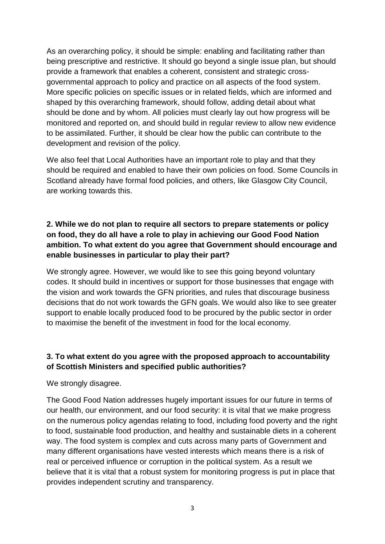As an overarching policy, it should be simple: enabling and facilitating rather than being prescriptive and restrictive. It should go beyond a single issue plan, but should provide a framework that enables a coherent, consistent and strategic crossgovernmental approach to policy and practice on all aspects of the food system. More specific policies on specific issues or in related fields, which are informed and shaped by this overarching framework, should follow, adding detail about what should be done and by whom. All policies must clearly lay out how progress will be monitored and reported on, and should build in regular review to allow new evidence to be assimilated. Further, it should be clear how the public can contribute to the development and revision of the policy.

We also feel that Local Authorities have an important role to play and that they should be required and enabled to have their own policies on food. Some Councils in Scotland already have formal food policies, and others, like Glasgow City Council, are working towards this.

## **2. While we do not plan to require all sectors to prepare statements or policy on food, they do all have a role to play in achieving our Good Food Nation ambition. To what extent do you agree that Government should encourage and enable businesses in particular to play their part?**

We strongly agree. However, we would like to see this going beyond voluntary codes. It should build in incentives or support for those businesses that engage with the vision and work towards the GFN priorities, and rules that discourage business decisions that do not work towards the GFN goals. We would also like to see greater support to enable locally produced food to be procured by the public sector in order to maximise the benefit of the investment in food for the local economy.

### **3. To what extent do you agree with the proposed approach to accountability of Scottish Ministers and specified public authorities?**

We strongly disagree.

The Good Food Nation addresses hugely important issues for our future in terms of our health, our environment, and our food security: it is vital that we make progress on the numerous policy agendas relating to food, including food poverty and the right to food, sustainable food production, and healthy and sustainable diets in a coherent way. The food system is complex and cuts across many parts of Government and many different organisations have vested interests which means there is a risk of real or perceived influence or corruption in the political system. As a result we believe that it is vital that a robust system for monitoring progress is put in place that provides independent scrutiny and transparency.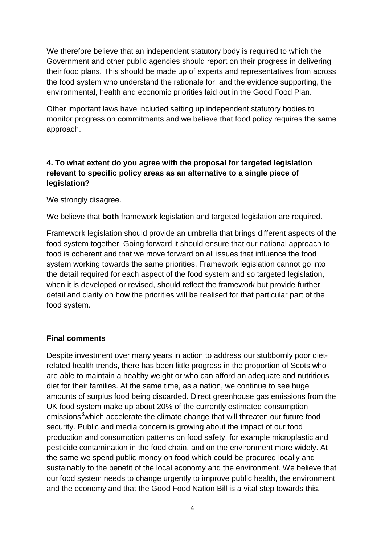We therefore believe that an independent statutory body is required to which the Government and other public agencies should report on their progress in delivering their food plans. This should be made up of experts and representatives from across the food system who understand the rationale for, and the evidence supporting, the environmental, health and economic priorities laid out in the Good Food Plan.

Other important laws have included setting up independent statutory bodies to monitor progress on commitments and we believe that food policy requires the same approach.

## **4. To what extent do you agree with the proposal for targeted legislation relevant to specific policy areas as an alternative to a single piece of legislation?**

We strongly disagree.

We believe that **both** framework legislation and targeted legislation are required.

Framework legislation should provide an umbrella that brings different aspects of the food system together. Going forward it should ensure that our national approach to food is coherent and that we move forward on all issues that influence the food system working towards the same priorities. Framework legislation cannot go into the detail required for each aspect of the food system and so targeted legislation, when it is developed or revised, should reflect the framework but provide further detail and clarity on how the priorities will be realised for that particular part of the food system.

#### **Final comments**

Despite investment over many years in action to address our stubbornly poor dietrelated health trends, there has been little progress in the proportion of Scots who are able to maintain a healthy weight or who can afford an adequate and nutritious diet for their families. At the same time, as a nation, we continue to see huge amounts of surplus food being discarded. Direct greenhouse gas emissions from the UK food system make up about 20% of the currently estimated consumption emissions<sup>[3](#page-4-2)</sup>which accelerate the climate change that will threaten our future food security. Public and media concern is growing about the impact of our food production and consumption patterns on food safety, for example microplastic and pesticide contamination in the food chain, and on the environment more widely. At the same we spend public money on food which could be procured locally and sustainably to the benefit of the local economy and the environment. We believe that our food system needs to change urgently to improve public health, the environment and the economy and that the Good Food Nation Bill is a vital step towards this.